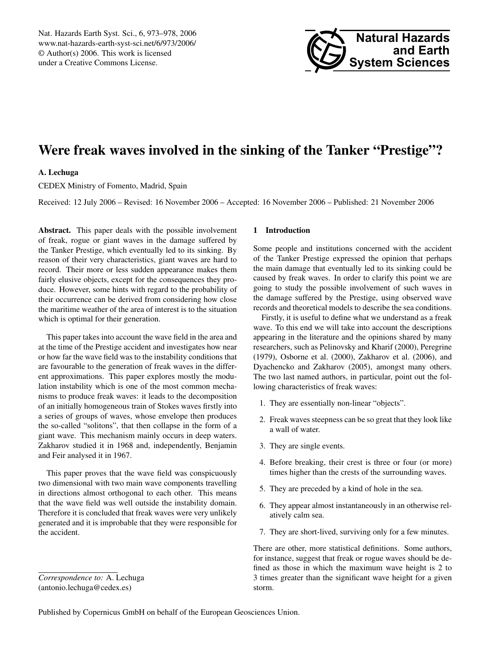Nat. Hazards Earth Syst. Sci., 6, 973–978, 2006 www.nat-hazards-earth-syst-sci.net/6/973/2006/ © Author(s) 2006. This work is licensed under a Creative Commons License.



## **Were freak waves involved in the sinking of the Tanker "Prestige"?**

## **A. Lechuga**

CEDEX Ministry of Fomento, Madrid, Spain

Received: 12 July 2006 – Revised: 16 November 2006 – Accepted: 16 November 2006 – Published: 21 November 2006

**Abstract.** This paper deals with the possible involvement of freak, rogue or giant waves in the damage suffered by the Tanker Prestige, which eventually led to its sinking. By reason of their very characteristics, giant waves are hard to record. Their more or less sudden appearance makes them fairly elusive objects, except for the consequences they produce. However, some hints with regard to the probability of their occurrence can be derived from considering how close the maritime weather of the area of interest is to the situation which is optimal for their generation.

This paper takes into account the wave field in the area and at the time of the Prestige accident and investigates how near or how far the wave field was to the instability conditions that are favourable to the generation of freak waves in the different approximations. This paper explores mostly the modulation instability which is one of the most common mechanisms to produce freak waves: it leads to the decomposition of an initially homogeneous train of Stokes waves firstly into a series of groups of waves, whose envelope then produces the so-called "solitons", that then collapse in the form of a giant wave. This mechanism mainly occurs in deep waters. Zakharov studied it in 1968 and, independently, Benjamin and Feir analysed it in 1967.

This paper proves that the wave field was conspicuously two dimensional with two main wave components travelling in directions almost orthogonal to each other. This means that the wave field was well outside the instability domain. Therefore it is concluded that freak waves were very unlikely generated and it is improbable that they were responsible for the accident.

#### **1 Introduction**

Some people and institutions concerned with the accident of the Tanker Prestige expressed the opinion that perhaps the main damage that eventually led to its sinking could be caused by freak waves. In order to clarify this point we are going to study the possible involvement of such waves in the damage suffered by the Prestige, using observed wave records and theoretical models to describe the sea conditions.

Firstly, it is useful to define what we understand as a freak wave. To this end we will take into account the descriptions appearing in the literature and the opinions shared by many researchers, such as Pelinovsky and Kharif (2000), Peregrine (1979), Osborne et al. (2000), Zakharov et al. (2006), and Dyachencko and Zakharov (2005), amongst many others. The two last named authors, in particular, point out the following characteristics of freak waves:

- 1. They are essentially non-linear "objects".
- 2. Freak waves steepness can be so great that they look like a wall of water.
- 3. They are single events.
- 4. Before breaking, their crest is three or four (or more) times higher than the crests of the surrounding waves.
- 5. They are preceded by a kind of hole in the sea.
- 6. They appear almost instantaneously in an otherwise relatively calm sea.
- 7. They are short-lived, surviving only for a few minutes.

There are other, more statistical definitions. Some authors, for instance, suggest that freak or rogue waves should be defined as those in which the maximum wave height is 2 to 3 times greater than the significant wave height for a given storm.

*Correspondence to:* A. Lechuga (antonio.lechuga@cedex.es)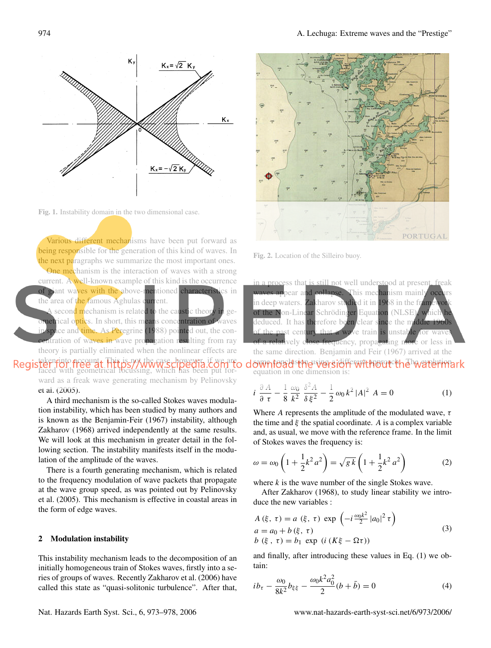

**Fig. 1.** Instability domain in the two dimensional case.

Various different mechanisms have been put forward as being responsible for the generation of this kind of waves. In the next paragraphs we summarize the most important ones. One mechanism is the interaction of waves with a strong

current. A well-known example of this kind is the occurrence of giant waves with the above-mentioned characteristics in the area of the famous Aghulas current.

A second mechanism is related to the caustic theory in genetrical optics. In short, this means concentration of waves **in** space and time. As Peregrine (1988) pointed out, the conntration of waves in wave propagation resulting from ray theory is partially eliminated when the nonlinear effects are

## taken finto account. This is not the case, however, if we are faced with geometrical focussing, which has been put forward as a freak wave generating mechanism by Pelinovsky et al. (2005).

A third mechanism is the so-called Stokes waves modulation instability, which has been studied by many authors and is known as the Benjamin-Feir (1967) instability, although Zakharov (1968) arrived independently at the same results. We will look at this mechanism in greater detail in the following section. The instability manifests itself in the modulation of the amplitude of the waves.

There is a fourth generating mechanism, which is related to the frequency modulation of wave packets that propagate at the wave group speed, as was pointed out by Pelinovsky et al. (2005). This mechanism is effective in coastal areas in the form of edge waves.

#### **2 Modulation instability**

This instability mechanism leads to the decomposition of an initially homogeneous train of Stokes waves, firstly into a series of groups of waves. Recently Zakharov et al. (2006) have called this state as "quasi-solitonic turbulence". After that,



**Fig. 2.** Location of the Silleiro buoy.

process that is still not well understood at present, freak appear and collapse. This mechanism mainly occurs in deep waters. Zakharov studied it in 1968 in the fr<mark>ame wor</mark>k of the Non-Linear Schrödinger Equation (NLSE), which he deduced. It has therefore been clear since the middle 1960s of the past century that a wave train is unstable for waves of a relatively close frequency, propagating more or less in the same direction. Benjamin and Feir (1967) arrived at the

own foad the version without the watermark  $\sqrt{ }$ equation in one dimension is:

$$
i \frac{\partial A}{\partial \tau} - \frac{1}{8} \frac{\omega_0}{k^2} \frac{\delta^2 A}{\delta \xi^2} - \frac{1}{2} \omega_0 k^2 |A|^2 A = 0
$$
 (1)

Where A represents the amplitude of the modulated wave,  $\tau$ the time and  $\xi$  the spatial coordinate. A is a complex variable and, as usual, we move with the reference frame. In the limit of Stokes waves the frequency is:

$$
\omega = \omega_0 \left( 1 + \frac{1}{2} k^2 a^2 \right) = \sqrt{g k} \left( 1 + \frac{1}{2} k^2 a^2 \right) \tag{2}
$$

where  $k$  is the wave number of the single Stokes wave.

After Zakharov (1968), to study linear stability we introduce the new variables :

$$
A(\xi, \tau) = a(\xi, \tau) \exp\left(-i\frac{\omega_0 k^2}{2} |a_0|^2 \tau\right)
$$
  
\n
$$
a = a_0 + b(\xi, \tau)
$$
  
\n
$$
b(\xi, \tau) = b_1 \exp\left(i\left(K\xi - \Omega\tau\right)\right)
$$
\n(3)

and finally, after introducing these values in Eq. (1) we obtain:

$$
ib_{\tau} - \frac{\omega_0}{8k^2}b_{\xi\xi} - \frac{\omega_0 k^2 a_0^2}{2}(b + \bar{b}) = 0
$$
 (4)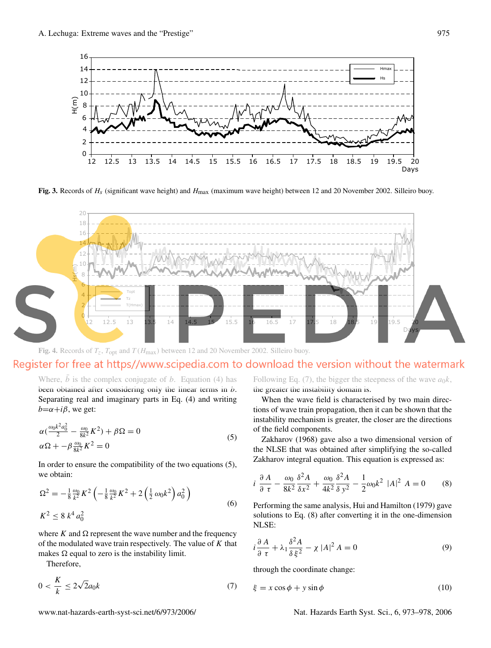

Fig. 3. Records of H<sub>s</sub> (significant wave height) and H<sub>max</sub> (maximum wave height) between 12 and 20 November 2002. Silleiro buoy.



**Fig. 4.** Records of  $T_z$ ,  $T_{opt}$  and  $T(H_{max})$  between 12 and 20 November 2002. Silleiro buoy.

## Register for free at https//www.scipedia.com to download the version without the watermark

Where,  $\bar{b}$  is the complex conjugate of b. Equation (4) has been obtained after considering only the linear terms in  $b$ . Separating real and imaginary parts in Eq. (4) and writing  $b = \alpha + i\beta$ , we get:

$$
\alpha \left( \frac{\omega_0 k^2 a_0^2}{2} - \frac{\omega_0}{8k^2} K^2 \right) + \beta \Omega = 0
$$
  
 
$$
\alpha \Omega + -\beta \frac{\omega_0}{8k^2} K^2 = 0
$$
 (5)

In order to ensure the compatibility of the two equations (5), we obtain:

$$
\Omega^2 = -\frac{1}{8} \frac{\omega_0}{k^2} K^2 \left( -\frac{1}{8} \frac{\omega_0}{k^2} K^2 + 2 \left( \frac{1}{2} \omega_0 k^2 \right) a_0^2 \right)
$$
  

$$
K^2 \le 8 k^4 a_0^2
$$
 (6)

where  $K$  and  $\Omega$  represent the wave number and the frequency of the modulated wave train respectively. The value of  $K$  that makes  $\Omega$  equal to zero is the instability limit.

Therefore,

$$
0 < \frac{K}{k} \le 2\sqrt{2}a_0k \tag{7}
$$

Following Eq. (7), the bigger the steepness of the wave  $a_0k$ , the greater the instability domain is.

When the wave field is characterised by two main directions of wave train propagation, then it can be shown that the instability mechanism is greater, the closer are the directions of the field components.

Zakharov (1968) gave also a two dimensional version of the NLSE that was obtained after simplifying the so-called Zakharov integral equation. This equation is expressed as:

$$
i \frac{\partial A}{\partial \tau} - \frac{\omega_0}{8k^2} \frac{\delta^2 A}{\delta x^2} + \frac{\omega_0}{4k^2} \frac{\delta^2 A}{\delta y^2} - \frac{1}{2} \omega_0 k^2 |A|^2 A = 0 \qquad (8)
$$

Performing the same analysis, Hui and Hamilton (1979) gave solutions to Eq. (8) after converting it in the one-dimension NLSE:

$$
i\frac{\partial A}{\partial \tau} + \lambda_1 \frac{\delta^2 A}{\delta \xi^2} - \chi |A|^2 A = 0
$$
 (9)

through the coordinate change:

$$
\xi = x\cos\phi + y\sin\phi \tag{10}
$$

www.nat-hazards-earth-syst-sci.net/6/973/2006/ Nat. Hazards Earth Syst. Sci., 6, 973–978, 2006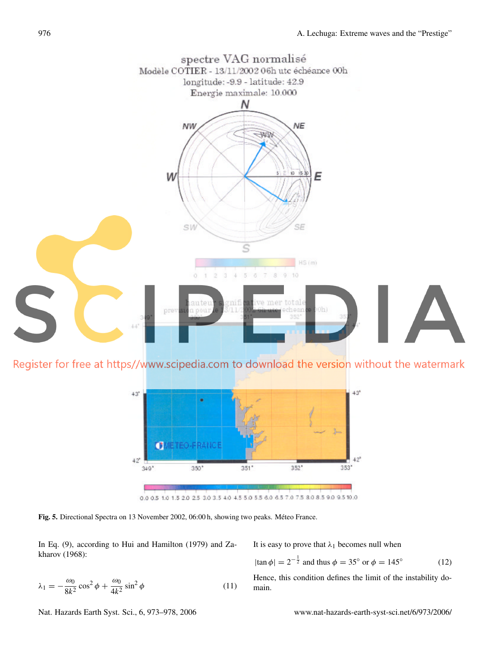

Register for free at https//www.scipedia.com to download the version without the watermark



Fig. 5. Directional Spectra on 13 November 2002, 06:00 h, showing two peaks. Méteo France.

In Eq. (9), according to Hui and Hamilton (1979) and Zakharov (1968):

$$
\lambda_1 = -\frac{\omega_0}{8k^2} \cos^2 \phi + \frac{\omega_0}{4k^2} \sin^2 \phi \tag{11}
$$

It is easy to prove that  $\lambda_1$  becomes null when

$$
|\tan \phi| = 2^{-\frac{1}{2}} \text{ and thus } \phi = 35^{\circ} \text{ or } \phi = 145^{\circ} \tag{12}
$$

Hence, this condition defines the limit of the instability domain.

Nat. Hazards Earth Syst. Sci., 6, 973–978, 2006 www.nat-hazards-earth-syst-sci.net/6/973/2006/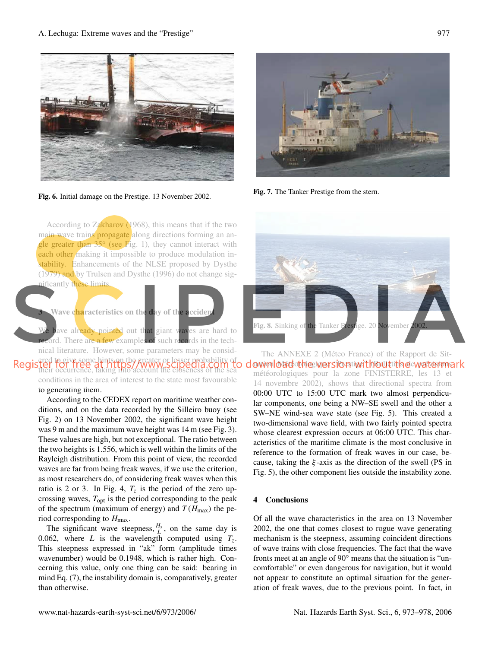

**Fig. 6.** Initial damage on the Prestige. 13 November 2002.



**Fig. 7.** The Tanker Prestige from the stern.

According to Zakharov (1968), this means that if the two main wave trains propagate along directions forming an angle greater than 35° (see Fig. 1), they cannot interact with each other making it impossible to produce modulation instability. Enhancements of the NLSE proposed by Dysthe (1979) and by Trulsen and Dysthe (1996) do not change significantly these limits.

# **3 Wave characteristics on the day of the accident**

We have already pointed out that giant waves are hard to ord. There are a few examples of such records in the technical literature. However, some parameters may be considered to give some hints on the greater or lesser probability of their occurrence, taking into account the closeness of the sea conditions in the area of interest to the state most favourable

## to generating them.

According to the CEDEX report on maritime weather conditions, and on the data recorded by the Silleiro buoy (see Fig. 2) on 13 November 2002, the significant wave height was 9 m and the maximum wave height was 14 m (see Fig. 3). These values are high, but not exceptional. The ratio between the two heights is 1.556, which is well within the limits of the Rayleigh distribution. From this point of view, the recorded waves are far from being freak waves, if we use the criterion, as most researchers do, of considering freak waves when this ratio is 2 or 3. In Fig. 4,  $T<sub>z</sub>$  is the period of the zero upcrossing waves,  $T_{\text{opt}}$  is the period corresponding to the peak of the spectrum (maximum of energy) and  $T(H_{\text{max}})$  the period corresponding to  $H_{\text{max}}$ .

The significant wave steepness,  $\frac{H_s}{L}$ , on the same day is 0.062, where L is the wavelength computed using  $T_z$ . This steepness expressed in "ak" form (amplitude times wavenumber) would be 0.1948, which is rather high. Concerning this value, only one thing can be said: bearing in mind Eq. (7), the instability domain is, comparatively, greater than otherwise.



The ANNEXE 2 (Méteo France) of the Rapport de Sitdown oud the wersion initial returns to watermark météorologiques pour la zone FINISTERRE, les 13 et 14 novembre 2002), shows that directional spectra from 00:00 UTC to 15:00 UTC mark two almost perpendicular components, one being a NW–SE swell and the other a SW–NE wind-sea wave state (see Fig. 5). This created a two-dimensional wave field, with two fairly pointed spectra whose clearest expression occurs at 06:00 UTC. This characteristics of the maritime climate is the most conclusive in reference to the formation of freak waves in our case, because, taking the  $\xi$ -axis as the direction of the swell (PS in Fig. 5), the other component lies outside the instability zone.

### **4 Conclusions**

Of all the wave characteristics in the area on 13 November 2002, the one that comes closest to rogue wave generating mechanism is the steepness, assuming coincident directions of wave trains with close frequencies. The fact that the wave fronts meet at an angle of 90° means that the situation is "uncomfortable" or even dangerous for navigation, but it would not appear to constitute an optimal situation for the generation of freak waves, due to the previous point. In fact, in